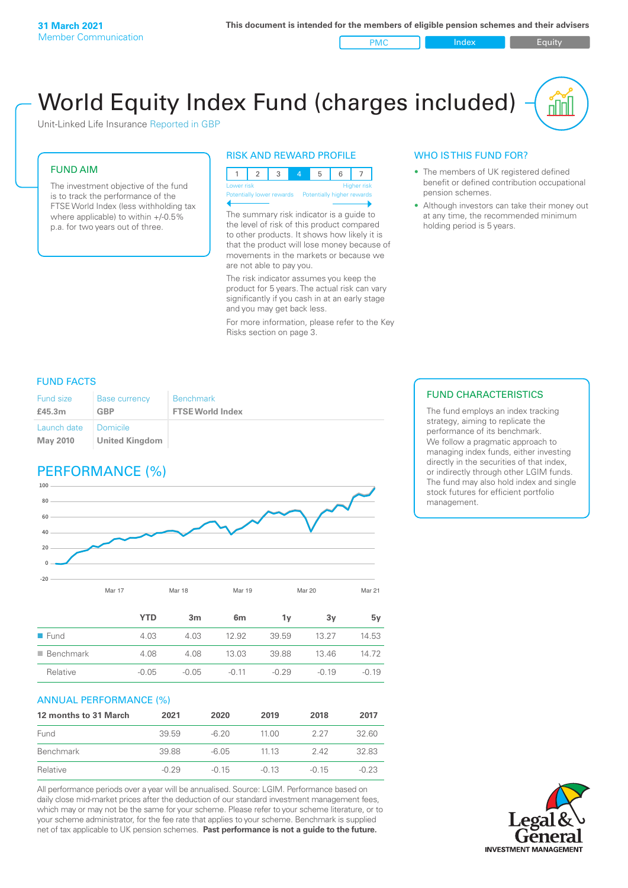PMC Index Index Equity

# World Equity Index Fund (charges included)

Unit-Linked Life Insurance Reported in GBP

#### FUND AIM

The investment objective of the fund is to track the performance of the FTSE World Index (less withholding tax where applicable) to within +/-0.5% p.a. for two years out of three.

#### RISK AND REWARD PROFILE



The summary risk indicator is a guide to the level of risk of this product compared to other products. It shows how likely it is that the product will lose money because of movements in the markets or because we are not able to pay you.

The risk indicator assumes you keep the product for 5 years. The actual risk can vary significantly if you cash in at an early stage and you may get back less.

For more information, please refer to the Key Risks section on page 3.

#### WHO IS THIS FUND FOR?

- The members of UK registered defined benefit or defined contribution occupational pension schemes.
- Although investors can take their money out at any time, the recommended minimum holding period is 5 years.

#### FUND FACTS

| <b>Fund size</b>               | <b>Base currency</b>                | <b>Benchmark</b>        |
|--------------------------------|-------------------------------------|-------------------------|
| £45.3m                         | <b>GBP</b>                          | <b>FTSE World Index</b> |
| Launch date<br><b>May 2010</b> | I Domicile<br><b>United Kingdom</b> |                         |

# PERFORMANCE (%)



|                          | <b>YTD</b> | 3 <sub>m</sub> | 6 <sub>m</sub> | 1۷      | 3y      | 5v      |
|--------------------------|------------|----------------|----------------|---------|---------|---------|
| ■ Fund                   | 4.03       | 4.03           | 12.92          | 39.59   | 13.27   | 14.53   |
| $\blacksquare$ Benchmark | 4.08       | 4.08           | 13.03          | 39.88   | 13.46   | 14.72   |
| Relative                 | $-0.05$    | $-0.05$        | $-0.11$        | $-0.29$ | $-0.19$ | $-0.19$ |

#### ANNUAL PERFORMANCE (%)

| 12 months to 31 March | 2021    | 2020    | 2019    | 2018    | 2017    |
|-----------------------|---------|---------|---------|---------|---------|
| Fund                  | 39.59   | $-6.20$ | 1100    | 227     | 32.60   |
| Benchmark             | 39.88   | -6.05   | 11 13   | 242     | 32.83   |
| Relative              | $-0.29$ | $-0.15$ | $-0.13$ | $-0.15$ | $-0.23$ |

All performance periods over a year will be annualised. Source: LGIM. Performance based on daily close mid-market prices after the deduction of our standard investment management fees, which may or may not be the same for your scheme. Please refer to your scheme literature, or to your scheme administrator, for the fee rate that applies to your scheme. Benchmark is supplied net of tax applicable to UK pension schemes. **Past performance is not a guide to the future.**

#### FUND CHARACTERISTICS

The fund employs an index tracking strategy, aiming to replicate the performance of its benchmark. We follow a pragmatic approach to managing index funds, either investing directly in the securities of that index, or indirectly through other LGIM funds. The fund may also hold index and single stock futures for efficient portfolio management.

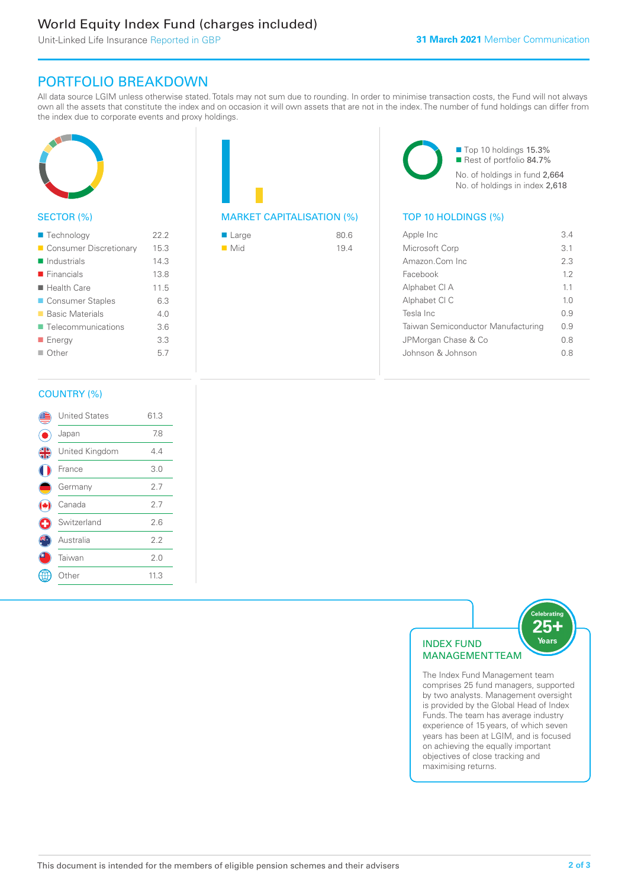# World Equity Index Fund (charges included)

Unit-Linked Life Insurance Reported in GBP

## PORTFOLIO BREAKDOWN

All data source LGIM unless otherwise stated. Totals may not sum due to rounding. In order to minimise transaction costs, the Fund will not always own all the assets that constitute the index and on occasion it will own assets that are not in the index. The number of fund holdings can differ from the index due to corporate events and proxy holdings.



### SECTOR (%)

| ■ Technology               | 22.2 |
|----------------------------|------|
| Consumer Discretionary     | 15.3 |
| $\blacksquare$ Industrials | 14.3 |
| $\blacksquare$ Financials  | 13.8 |
| $\blacksquare$ Health Care | 11.5 |
| ■ Consumer Staples         | 6.3  |
| ■ Basic Materials          | 4.0  |
| ■ Telecommunications       | 3.6  |
| ■ Energy                   | 3.3  |
| $\Box$ Other               | 5.7  |
|                            |      |

# MARKET CAPITALISATION (%) TOP 10 HOLDINGS (%)

| ■ Large            | 80.6 |
|--------------------|------|
| $\blacksquare$ Mid | 19.4 |

■ Top 10 holdings 15.3% Rest of portfolio 84.7% No. of holdings in fund 2,664 No. of holdings in index 2,618

| Apple Inc                          | 34             |
|------------------------------------|----------------|
| Microsoft Corp                     | 3.1            |
| Amazon.Com Inc.                    | 2.3            |
| Facebook                           | 12             |
| Alphabet CI A                      | 11             |
| Alphabet CI C                      | 1 <sub>0</sub> |
| Tesla Inc                          | O 9            |
| Taiwan Semiconductor Manufacturing | 0.9            |
| JPMorgan Chase & Co                | 08             |
| Johnson & Johnson                  | 0 S            |
|                                    |                |

#### COUNTRY (%)

|   | <b>United States</b> | 61.3 |  |
|---|----------------------|------|--|
|   | Japan                | 7.8  |  |
| 4 | United Kingdom       | 4.4  |  |
|   | France               | 3.0  |  |
|   | Germany              | 2.7  |  |
|   | Canada               | 2.7  |  |
| ÷ | Switzerland          | 2.6  |  |
|   | Australia            | 2.2  |  |
|   | Taiwan               | 2.0  |  |
|   | Other                | 11.3 |  |
|   |                      |      |  |



The Index Fund Management team comprises 25 fund managers, supported by two analysts. Management oversight is provided by the Global Head of Index Funds. The team has average industry experience of 15 years, of which seven years has been at LGIM, and is focused on achieving the equally important objectives of close tracking and maximising returns.